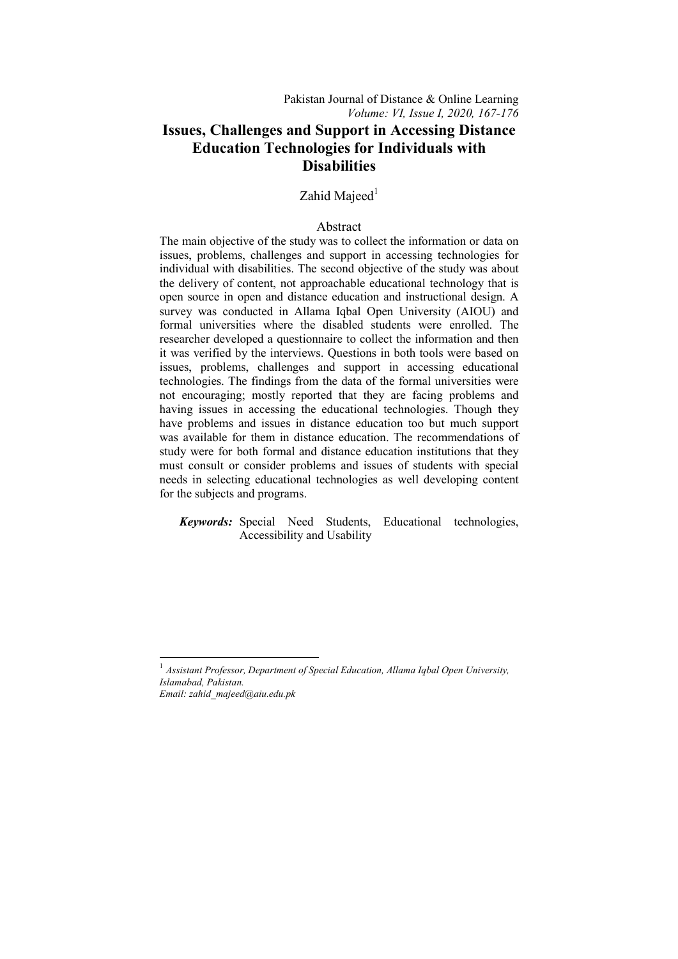# Zahid Majeed $<sup>1</sup>$ </sup>

## Abstract

The main objective of the study was to collect the information or data on issues, problems, challenges and support in accessing technologies for individual with disabilities. The second objective of the study was about the delivery of content, not approachable educational technology that is open source in open and distance education and instructional design. A survey was conducted in Allama Iqbal Open University (AIOU) and formal universities where the disabled students were enrolled. The researcher developed a questionnaire to collect the information and then it was verified by the interviews. Questions in both tools were based on issues, problems, challenges and support in accessing educational technologies. The findings from the data of the formal universities were not encouraging; mostly reported that they are facing problems and having issues in accessing the educational technologies. Though they have problems and issues in distance education too but much support was available for them in distance education. The recommendations of study were for both formal and distance education institutions that they must consult or consider problems and issues of students with special needs in selecting educational technologies as well developing content for the subjects and programs.

 *Keywords:* Special Need Students, Educational technologies, Accessibility and Usability

1

<sup>1</sup> *Assistant Professor, Department of Special Education, Allama Iqbal Open University, Islamabad, Pakistan.* 

*Email: zahid\_majeed@aiu.edu.pk*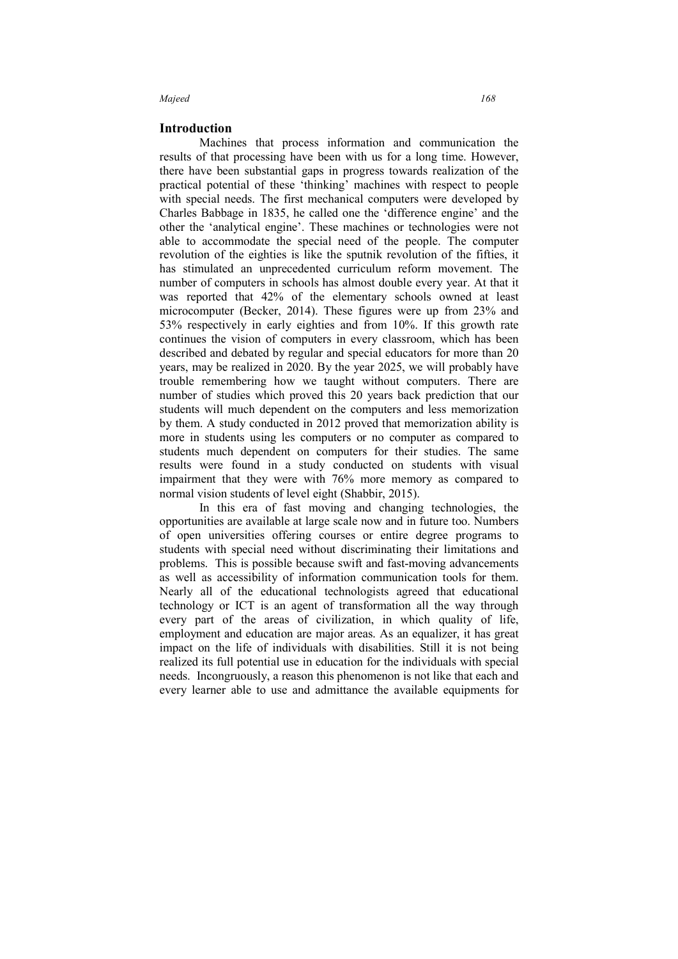### **Introduction**

Machines that process information and communication the results of that processing have been with us for a long time. However, there have been substantial gaps in progress towards realization of the practical potential of these 'thinking' machines with respect to people with special needs. The first mechanical computers were developed by Charles Babbage in 1835, he called one the 'difference engine' and the other the 'analytical engine'. These machines or technologies were not able to accommodate the special need of the people. The computer revolution of the eighties is like the sputnik revolution of the fifties, it has stimulated an unprecedented curriculum reform movement. The number of computers in schools has almost double every year. At that it was reported that 42% of the elementary schools owned at least microcomputer (Becker, 2014). These figures were up from 23% and 53% respectively in early eighties and from 10%. If this growth rate continues the vision of computers in every classroom, which has been described and debated by regular and special educators for more than 20 years, may be realized in 2020. By the year 2025, we will probably have trouble remembering how we taught without computers. There are number of studies which proved this 20 years back prediction that our students will much dependent on the computers and less memorization by them. A study conducted in 2012 proved that memorization ability is more in students using les computers or no computer as compared to students much dependent on computers for their studies. The same results were found in a study conducted on students with visual impairment that they were with 76% more memory as compared to normal vision students of level eight (Shabbir, 2015).

In this era of fast moving and changing technologies, the opportunities are available at large scale now and in future too. Numbers of open universities offering courses or entire degree programs to students with special need without discriminating their limitations and problems. This is possible because swift and fast-moving advancements as well as accessibility of information communication tools for them. Nearly all of the educational technologists agreed that educational technology or ICT is an agent of transformation all the way through every part of the areas of civilization, in which quality of life, employment and education are major areas. As an equalizer, it has great impact on the life of individuals with disabilities. Still it is not being realized its full potential use in education for the individuals with special needs. Incongruously, a reason this phenomenon is not like that each and every learner able to use and admittance the available equipments for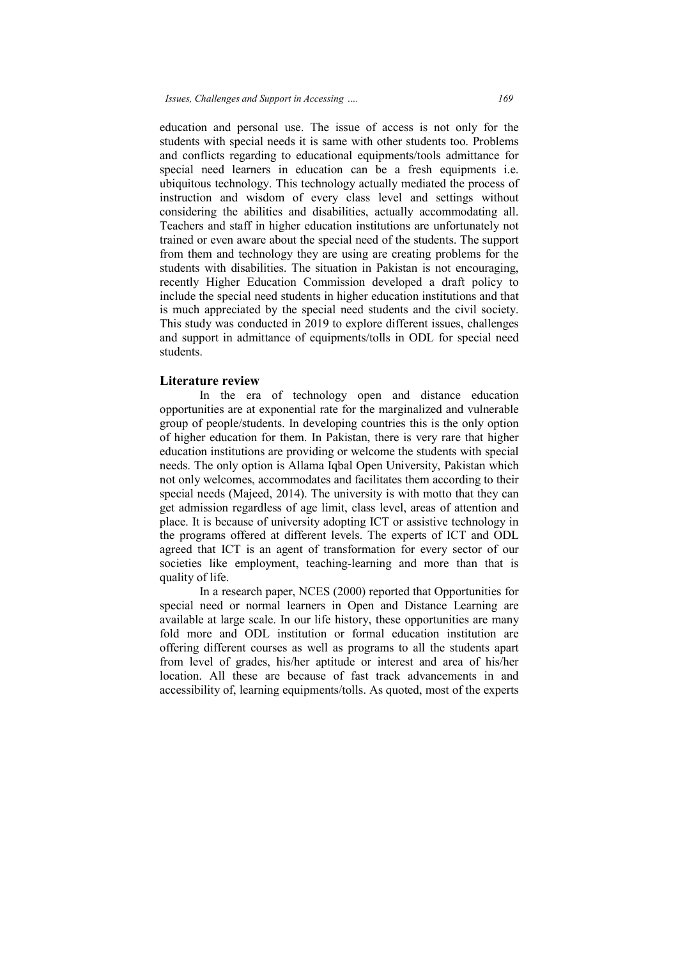education and personal use. The issue of access is not only for the students with special needs it is same with other students too. Problems and conflicts regarding to educational equipments/tools admittance for special need learners in education can be a fresh equipments i.e. ubiquitous technology. This technology actually mediated the process of instruction and wisdom of every class level and settings without considering the abilities and disabilities, actually accommodating all. Teachers and staff in higher education institutions are unfortunately not trained or even aware about the special need of the students. The support from them and technology they are using are creating problems for the students with disabilities. The situation in Pakistan is not encouraging, recently Higher Education Commission developed a draft pol include the special need students in higher education institutions and that is much appreciated by the special need students and the civil society. This study was conducted in 2019 to explore different issues, challenges and support in admittance of equipments/tolls in ODL for special need students. the abilities and disabilities, actually accommodating all.<br>I staff in higher education institutions are unfortunately not<br>en aware about the special need of the students. The support isabilities. The situation in Pakistan is not encouraging,<br>r Education Commission developed a draft policy to<br>cial need students in higher education institutions and that<br>iated by the special need students and the civil so onal use. The issue of access is not only for the l needs it is same with other students too. Problems ing to educational equipments/tools admittance for rs in education can be a fresh equipments i.e. gy. This technology a

# **Literature review**

In the era of technology open and distance education In the era of technology open and distance education opportunities are at exponential rate for the marginalized and vulnerable group of people/students. In developing countries this is the only option of higher education for them. In Pakistan, there is very rare that higher education institutions are providing or welcome the students with special needs. The only option is Allama Iqbal Open University, Pakistan which not only welcomes, a accommodates and facilitates them according to their special needs (Majeed, 2014). The university is with motto that they can get admission regardless of age limit, class level, areas of attention place. It is because of university adopting ICT or assistive technology in the programs offered at different levels. The experts of ICT and ODL agreed that ICT is an agent of transformation for every sector of our societies like employment, teaching-learning and more than that is quality of life. ccommodates and facilitates them according to their<br>d, 2014). The university is with motto that they can<br>less of age limit, class level, areas of attention and Exercise of university adopting ICT or assistive technology in red at different levels. The experts of ICT and ODL s an agent of transformation for every sector of our ployment, teaching-learning and more than that is ch p

In a research paper, NCES (2000) reported that Opportunities for special need or normal learners in Open and Distance Learning are available at large scale. In our life history, these opportunities are many fold more and ODL institution or formal education institution are offering different courses as well as programs to all the students apart from level of grades, his/her aptitude or interest and area of his/her location. All these are because of fast track advancements in and accessibility of, learning equipments/to lls. is/her aptitude or interest and area of his/her<br>because of fast track advancements in and<br>equipments/tolls. As quoted, most of the experts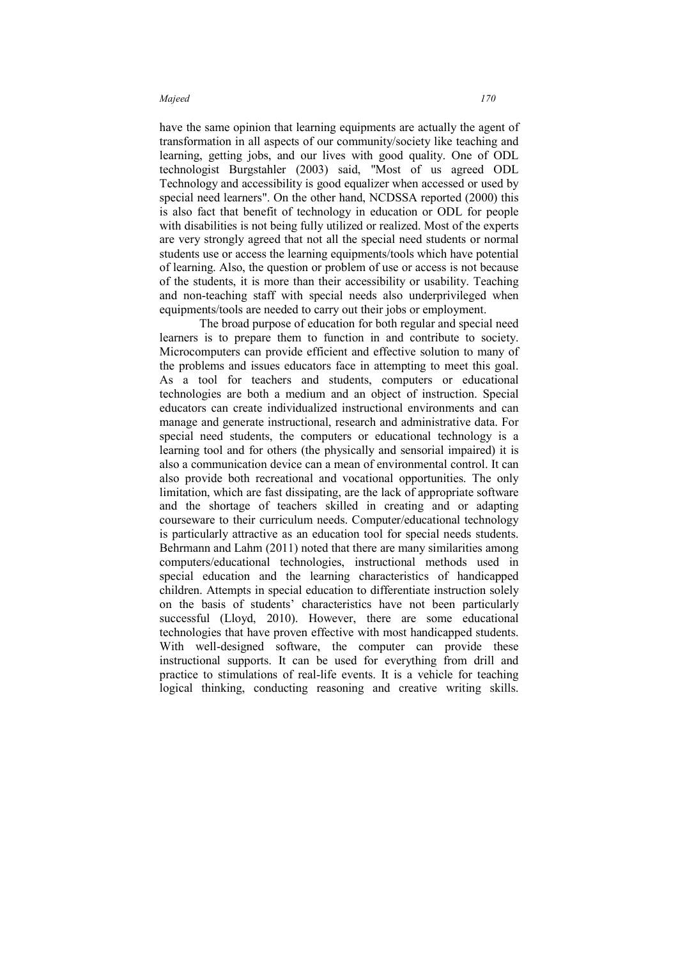have the same opinion that learning equipments are actually the agent of transformation in all aspects of our community/society like teaching and learning, getting jobs, and our lives with good quality. One of ODL technologist Burgstahler (2003) said, "Most of us agreed ODL Technology and accessibility is good equalizer when accessed or used by special need learners". On the other hand, NCDSSA reported (2000) this is also fact that benefit of technology in education or ODL for people with disabilities is not being fully utilized or realized. Most of the experts are very strongly agreed that not all the special need students or normal students use or access the learning equipments/tools which have potential of learning. Also, the question or problem of use or access is not because of the students, it is more than their accessibility or usability. Teaching and non-teaching staff with special needs also underprivileged when equipments/tools are needed to carry out their jobs or employment.

The broad purpose of education for both regular and special need learners is to prepare them to function in and contribute to society. Microcomputers can provide efficient and effective solution to many of the problems and issues educators face in attempting to meet this goal. As a tool for teachers and students, computers or educational technologies are both a medium and an object of instruction. Special educators can create individualized instructional environments and can manage and generate instructional, research and administrative data. For special need students, the computers or educational technology is a learning tool and for others (the physically and sensorial impaired) it is also a communication device can a mean of environmental control. It can also provide both recreational and vocational opportunities. The only limitation, which are fast dissipating, are the lack of appropriate software and the shortage of teachers skilled in creating and or adapting courseware to their curriculum needs. Computer/educational technology is particularly attractive as an education tool for special needs students. Behrmann and Lahm (2011) noted that there are many similarities among computers/educational technologies, instructional methods used in special education and the learning characteristics of handicapped children. Attempts in special education to differentiate instruction solely on the basis of students' characteristics have not been particularly successful (Lloyd, 2010). However, there are some educational technologies that have proven effective with most handicapped students. With well-designed software, the computer can provide these instructional supports. It can be used for everything from drill and practice to stimulations of real-life events. It is a vehicle for teaching logical thinking, conducting reasoning and creative writing skills.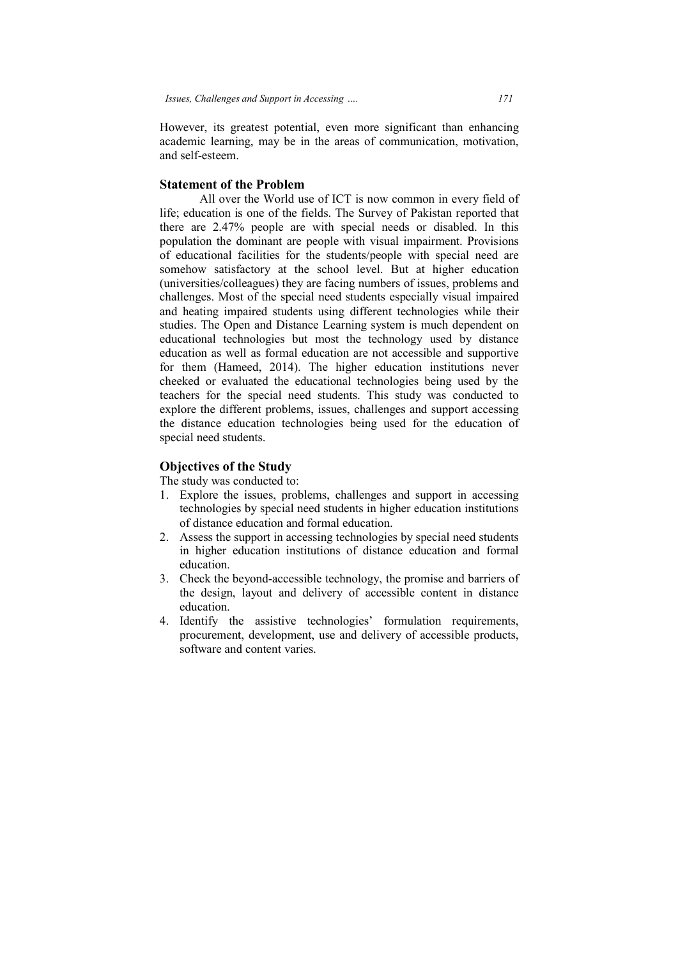However, its greatest potential, even more significant than enhancing academic learning, may be in the areas of communication, motivation, and self-esteem.

# **Statement of the Problem**

All over the World use of ICT is now common in every field of life; education is one of the fields. The Survey of Pakistan reported that there are 2.47% people are with special needs or disabled. In this life; education is one of the fields. The Survey of Pakistan reported that there are 2.47% people are with special needs or disabled. In this population the dominant are people with visual impairment. Provisions of educational facilities for the students/people with special need are somehow satisfactory at the school level. But at higher education (universities/colleagues) they are facing numbers of issues, problems and challenges. Most of the special need students especially visual impaired and heating impaired students using different technologies while their studies. The Open and Distance Learning system is much dependent on educational technologies but most the technology used by distance education as well as formal education are not accessible and supportive for them (Hameed, 2014). The higher education institutions never cheeked or evaluated the educational technologies being used by the teachers for the special need students. This study was explore the different problems, issues, challenges and support accessing the distance education technologies being used for the education of special need students. ation as well as formal education are not accessible and supportive<br>them (Hameed, 2014). The higher education institutions never<br>ked or evaluated the educational technologies being used by the<br>ners for the special need stu delivery  *171*  in the dominant are people with visual impairment. Provisions<br>it was staristical for the students/people with special need are<br>lites/colleagues) they are facing numbers of issues, problems and<br>es. Most of the special need

# **Objectives of the Study**

The study was conducted to:

- 1. Explore the issues, problems, challenges and support in accessing technologies by special need students in higher education institutions of distance education and formal education.
- 2. Assess the support in accessing technologies by special need students technologies by special need students in higher education institutions<br>of distance education and formal education.<br>Assess the support in accessing technologies by special need students<br>in higher education institutions of d education.
- 3. Check the beyond beyond-accessible technology, the promise and barriers of the design, layout and delivery of accessible content in distance education.
- 4. Identify the assistive technologies' formulation requirement procurement, development, use and delivery of accessible products, software and content varies.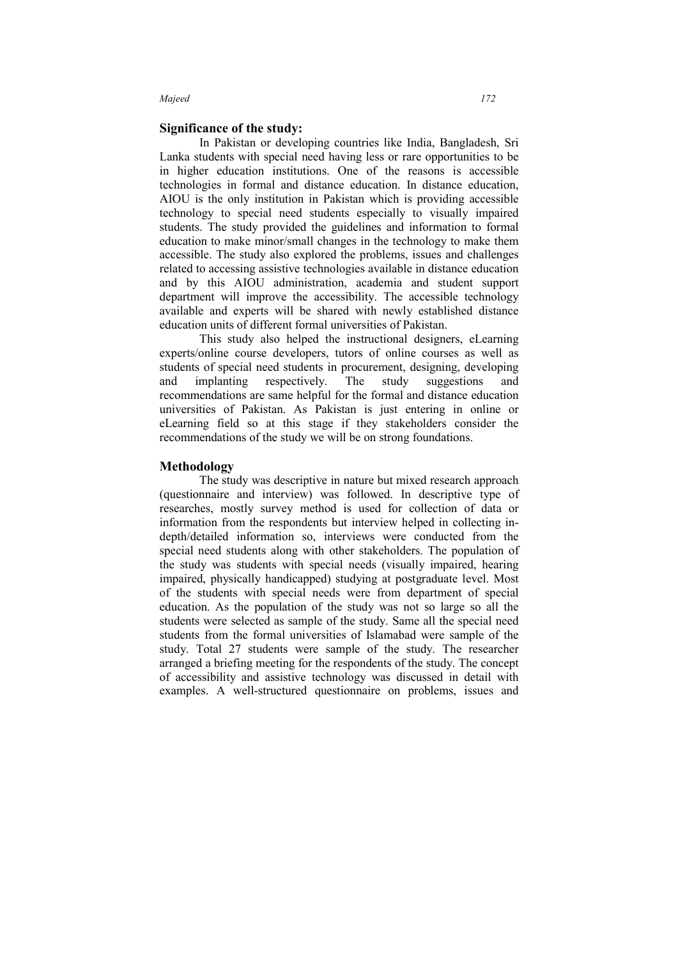## **Significance of the study:**

In Pakistan or developing countries like India, Bangladesh, Sri Lanka students with special need having less or rare opportunities to be in higher education institutions. One of the reasons is accessible technologies in formal and distance education. In distance education, AIOU is the only institution in Pakistan which is providing accessible technology to special need students especially to visually impaired students. The study provided the guidelines and information to formal education to make minor/small changes in the technology to make them accessible. The study also explored the problems, issues and challenges related to accessing assistive technologies available in distance education and by this AIOU administration, academia and student support department will improve the accessibility. The accessible technology available and experts will be shared with newly established distance education units of different formal universities of Pakistan.

This study also helped the instructional designers, eLearning experts/online course developers, tutors of online courses as well as students of special need students in procurement, designing, developing and implanting respectively. The study suggestions and recommendations are same helpful for the formal and distance education universities of Pakistan. As Pakistan is just entering in online or eLearning field so at this stage if they stakeholders consider the recommendations of the study we will be on strong foundations.

### **Methodology**

The study was descriptive in nature but mixed research approach (questionnaire and interview) was followed. In descriptive type of researches, mostly survey method is used for collection of data or information from the respondents but interview helped in collecting indepth/detailed information so, interviews were conducted from the special need students along with other stakeholders. The population of the study was students with special needs (visually impaired, hearing impaired, physically handicapped) studying at postgraduate level. Most of the students with special needs were from department of special education. As the population of the study was not so large so all the students were selected as sample of the study. Same all the special need students from the formal universities of Islamabad were sample of the study. Total 27 students were sample of the study. The researcher arranged a briefing meeting for the respondents of the study. The concept of accessibility and assistive technology was discussed in detail with examples. A well-structured questionnaire on problems, issues and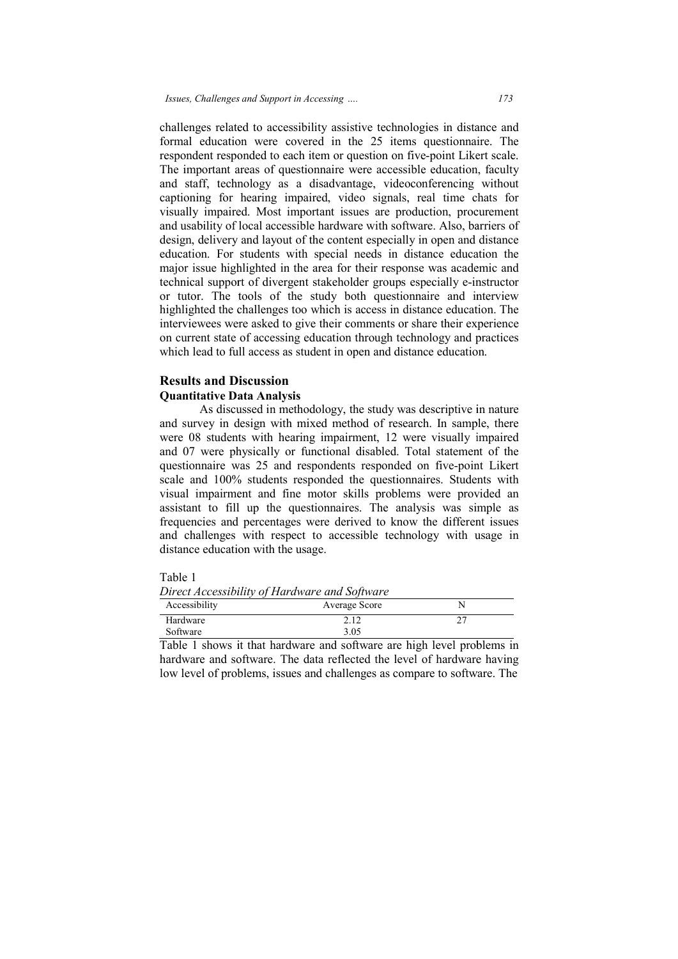challenges related to accessibility assistive technologies in distance and formal education were covered in the 25 items questionnaire. The respondent responded to each item or question on five-point Likert scale. The important areas of questionnaire were accessible education, faculty and staff, technology as a disadvantage, videoconferencing without captioning for hearing impaired, video signals, real time chats for visually impaired. Most important issues are production, procurement and usability of local accessible hardware with software. Also, barriers of design, delivery and layout of the content especially in open and distance and usability of local accessible hardware with software. Also, barriers of design, delivery and layout of the content especially in open and distance education. For students with special needs in distance education the major issue highlighted in the area for their response was academic and technical support of divergent stakeholder groups especially e-instructor or tutor. The tools of the study both questionnaire and in highlighted the challenges too which is access in distance education. The interviewees were asked to give their comments or share their experience on current state of accessing education through technology and practices which lead to full access as student in open and distance education. 173<br>
plogies in distance and<br>
ms questionnaire. The<br>
five-point Likert scale.<br>
sible education, faculty<br>
oconferencing without<br>
i, real time chats for<br>
oduction, procurement<br>
tware. Also, barriers of<br>
ly in open and distan were covered in the 25 items questionnaire. The ded to each item or question on five-point Likert scale.<br>eas of questionnaire were accessible education, faculty logy as a disadvantage, videoconferencing without earing impa

### **Results and Discussion Quantitative Data Analysis**

As discussed in methodology, the study was descriptive in nature and survey in design with mixed method of research. In sample, there were 08 students with heari hearing impairment, 12 were visually impaired and 07 were physically or functional disabled. Total statement of the questionnaire was 25 and respondents responded on five-point Likert scale and 100% students responded the questionnaires. Students with visual impairment and fine motor skills problems were provided an assistant to fill up the questionnaires. The analysis was simple as frequencies and percentages were derived to know the different issues and challenges with respect to accessible technology with usage in distance education with the usage. pairment and fine motor skills problems were provided<br>to fill up the questionnaires. The analysis was simple<br>es and percentages were derived to know the different iss<br>enges with respect to accessible technology with usage<br> ive their comments or share their experience<br>education through technology and practices<br>udent in open and distance education.<br>inpairment in angle, there<br>invested method of research. In sample, there<br>ng impairment, 12 were

| -tD' |  |
|------|--|
|      |  |
|      |  |

| Direct Accessibility of Hardware and Software |               |  |  |  |
|-----------------------------------------------|---------------|--|--|--|
| Accessibility                                 | Average Score |  |  |  |
| Hardware                                      | 2.12          |  |  |  |
| Software                                      | 3.05          |  |  |  |

Table 1 shows it that hardware and software are high level problems in hardware and software. The data reflected the level of hardware having low level of problems, issues and challenges as compare to software. The e are high level problems<br>he level of hardware havi<br>as compare to software. Tl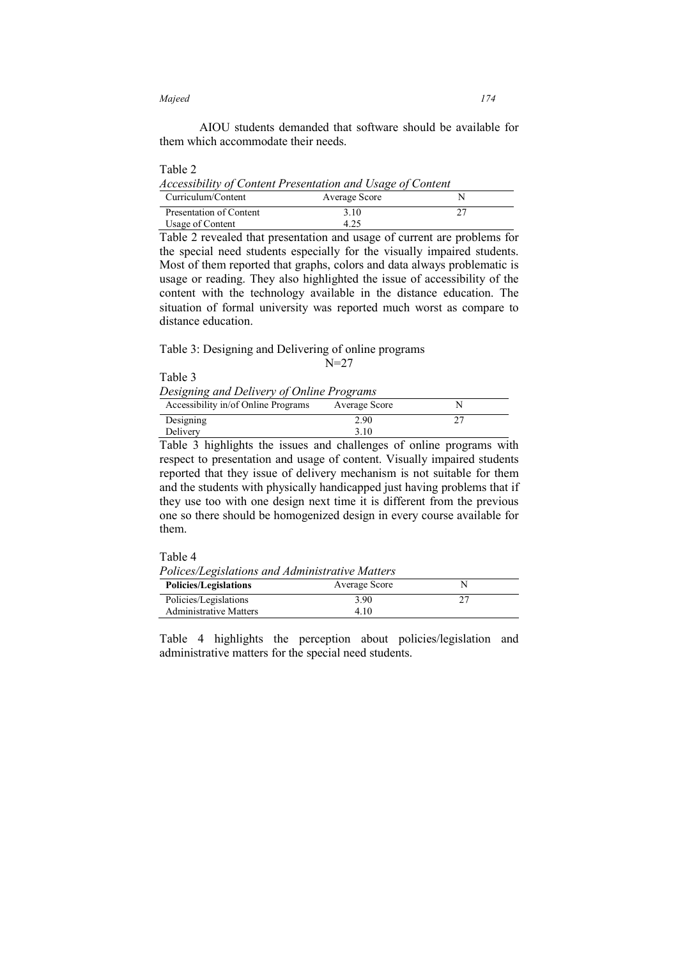AIOU students demanded that software should be available for them which accommodate their needs.

## Table 2

*Accessibility of Content Presentation and Usage of Content* 

| Curriculum/Content      | Average Score |  |
|-------------------------|---------------|--|
| Presentation of Content | 3.10          |  |
| Usage of Content        | 4.25          |  |

Table 2 revealed that presentation and usage of current are problems for the special need students especially for the visually impaired students. Most of them reported that graphs, colors and data always problematic is usage or reading. They also highlighted the issue of accessibility of the content with the technology available in the distance education. The situation of formal university was reported much worst as compare to distance education.

Table 3: Designing and Delivering of online programs

N=27

Table 3 *Designing and Delivery of Online Programs* 

| Accessibility in/of Online Programs | Average Score |  |
|-------------------------------------|---------------|--|
| Designing                           | 2.90          |  |
| Delivery                            | 3.10          |  |

Table 3 highlights the issues and challenges of online programs with respect to presentation and usage of content. Visually impaired students reported that they issue of delivery mechanism is not suitable for them and the students with physically handicapped just having problems that if they use too with one design next time it is different from the previous one so there should be homogenized design in every course available for them.

## Table 4

| Polices/Legislations and Administrative Matters |               |  |  |
|-------------------------------------------------|---------------|--|--|
| <b>Policies/Legislations</b>                    | Average Score |  |  |
| Policies/Legislations                           | 3.90          |  |  |
| <b>Administrative Matters</b>                   | 410           |  |  |

Table 4 highlights the perception about policies/legislation and administrative matters for the special need students.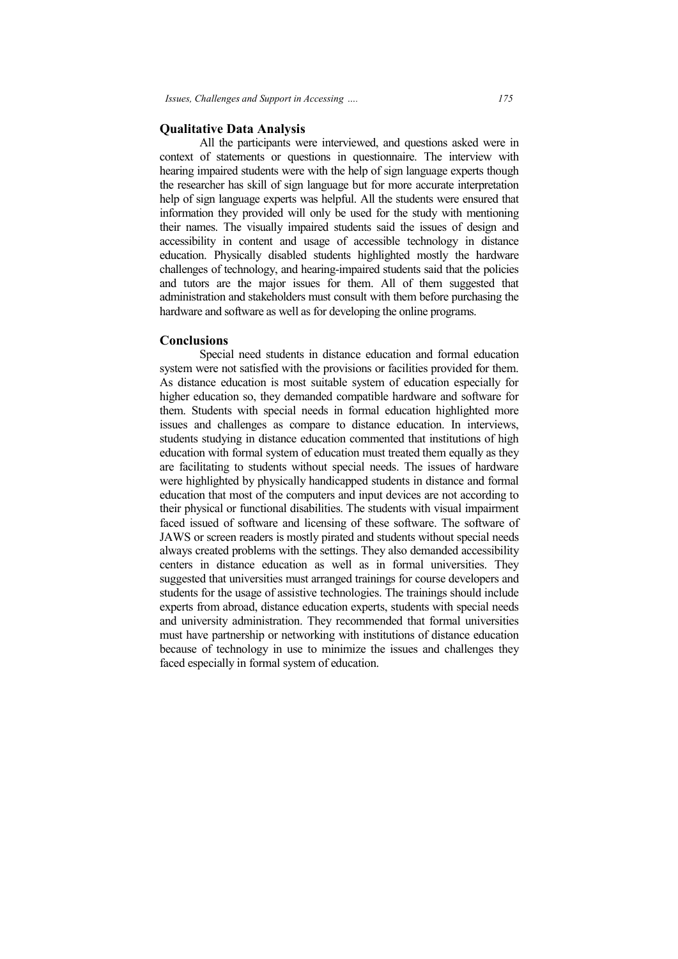## **Qualitative Data Analysis**

All the participants were interviewed, and questions asked were in context of statements or questions in questionnaire. The interview with hearing impaired students were with the help of sign language experts though the researcher has skill of sign language but for more accurate interpretation help of sign language experts was helpful. All the students were ensured that information they provided will only be used for the study with mentioning their names. The visually impaired students said the issues of design and accessibility in content and usage of accessible technology in distance education. Physically disabled students highlighted mostly the hardware challenges of technology, and hearing-impaired students said that the polici and tutors are the major issues for them. All of them suggested that administration and stakeholders must consult with them before purchasing the and tutors are the major issues for them. All of them sugge administration and stakeholders must consult with them before purch hardware and software as well as for developing the online programs. r has skill of sign language but for more accurate interpretation language experts was helpful. All the students were ensured that hey provided will only be used for the study with mentioning The visually impaired students tudents said the issues of design and<br>of accessible technology in distance<br>nts highlighted mostly the hardware<br>impaired students said that the policies

### **Conclusions**

Special need students in distance education and formal education system were not satisfied with the provisions or facilities provided for them. As distance education is most suitable system of education especially for higher education so, they demanded compatible hardware and software for them. Students with special needs in formal education highlighted more issues and challenges as compare to distance education. In interviews, students studying in distance education commented that institutions of high education with formal system of education must treated them equally as they are facilitating to students without special needs. The issues of hardware were highlighted by physically handicapped students in distance and formal education that most of the computers and input devices are not according to their physical or functional disabilities. The students with visual impairment faced issued of software and licensing of these software. The software of JAWS or screen readers is mostly pirated and students without special needs always created problems with the settings. They also demanded accessibility centers in distance education as well as in formal universities. They suggested that universities must arranged trainings for course developers and students for the usage of assistive technologies. The trainings should include experts from abroad, distance education experts, students with special needs and university administration. They recommended that formal universities must have partnership or networking with institutions of distance e because of technology in use to minimize the issues and challenges they faced especially in formal system of education. with the provisions or facilities provided for them.<br>most suitable system of education especially for<br>demanded compatible hardware and software for reated problems with the settings. They also demanded accessibility<br>in distance education as well as in formal universities. They<br>d that universities must arranged trainings for course developers and<br>for the usage of assis or issues for them. All of them suggested that olders must consult with them before purchasing the well as for developing the online programs.<br>
Methats in distance education and formal education<br>
1 with the provisions or f